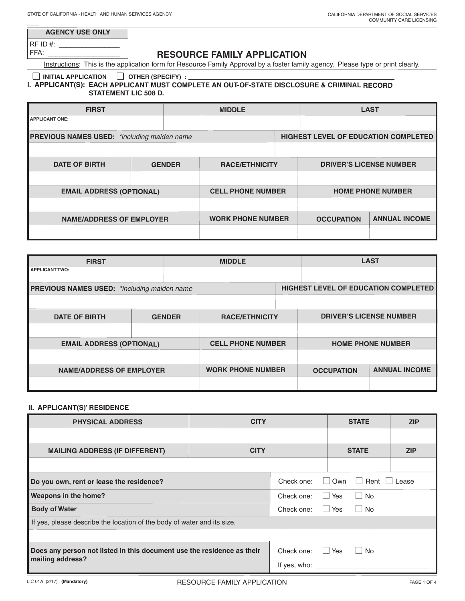| <b>AGENCY USE ONLY</b> |  |
|------------------------|--|
| $ RFID#$ :             |  |
| $- - -$                |  |

FFA: \_\_\_\_\_\_\_\_\_\_\_\_\_\_\_\_\_\_\_

# **RESOURCE FAMILY APPLICATION**

Instructions: This is the application form for Resource Family Approval by a foster family agency. Please type or print clearly.

# ■ **INITIAL APPLICATION** ■ **OTHER (SPECIFY) :**

 $\mathcal{L}$ 

## **I. APPLICANT(S): EACH APPLICANT MUST COMPLETE AN OUT-OF-STATE DISCLOSURE & CRIMINAL RECORD STATEMENT LIC 508 D.**

| <b>FIRST</b>                                       | <b>MIDDLE</b> |                          |  |                                |                                             | <b>LAST</b> |
|----------------------------------------------------|---------------|--------------------------|--|--------------------------------|---------------------------------------------|-------------|
| <b>APPLICANT ONE:</b>                              |               |                          |  |                                |                                             |             |
| <b>PREVIOUS NAMES USED:</b> *including maiden name |               |                          |  |                                | <b>HIGHEST LEVEL OF EDUCATION COMPLETED</b> |             |
|                                                    |               |                          |  |                                |                                             |             |
| <b>DATE OF BIRTH</b><br><b>GENDER</b>              |               | <b>RACE/ETHNICITY</b>    |  | <b>DRIVER'S LICENSE NUMBER</b> |                                             |             |
|                                                    |               |                          |  |                                |                                             |             |
| <b>EMAIL ADDRESS (OPTIONAL)</b>                    |               | <b>CELL PHONE NUMBER</b> |  |                                | <b>HOME PHONE NUMBER</b>                    |             |
|                                                    |               |                          |  |                                |                                             |             |
| <b>NAME/ADDRESS OF EMPLOYER</b>                    |               | <b>WORK PHONE NUMBER</b> |  | <b>OCCUPATION</b>              | <b>ANNUAL INCOME</b>                        |             |
|                                                    |               |                          |  |                                |                                             |             |

| <b>FIRST</b>                                       |  |                          | <b>MIDDLE</b>         |                   |                                             | <b>LAST</b>                    |
|----------------------------------------------------|--|--------------------------|-----------------------|-------------------|---------------------------------------------|--------------------------------|
| <b>APPLICANT TWO:</b>                              |  |                          |                       |                   |                                             |                                |
| <b>PREVIOUS NAMES USED:</b> *including maiden name |  |                          |                       |                   | <b>HIGHEST LEVEL OF EDUCATION COMPLETED</b> |                                |
|                                                    |  |                          |                       |                   |                                             |                                |
| <b>DATE OF BIRTH</b>                               |  | <b>GENDER</b>            | <b>RACE/ETHNICITY</b> |                   |                                             | <b>DRIVER'S LICENSE NUMBER</b> |
|                                                    |  |                          |                       |                   |                                             |                                |
| <b>EMAIL ADDRESS (OPTIONAL)</b>                    |  | <b>CELL PHONE NUMBER</b> |                       |                   | <b>HOME PHONE NUMBER</b>                    |                                |
|                                                    |  |                          |                       |                   |                                             |                                |
| <b>NAME/ADDRESS OF EMPLOYER</b>                    |  | <b>WORK PHONE NUMBER</b> |                       | <b>OCCUPATION</b> | <b>ANNUAL INCOME</b>                        |                                |
|                                                    |  |                          |                       |                   |                                             |                                |

## **II. APPLICANT(S)' RESIDENCE**

| <b>PHYSICAL ADDRESS</b>                                                 | <b>CITY</b> |                      | <b>STATE</b>                   | <b>ZIP</b> |
|-------------------------------------------------------------------------|-------------|----------------------|--------------------------------|------------|
|                                                                         |             |                      |                                |            |
| <b>MAILING ADDRESS (IF DIFFERENT)</b>                                   | <b>CITY</b> |                      | <b>STATE</b>                   | <b>ZIP</b> |
|                                                                         |             |                      |                                |            |
| Do you own, rent or lease the residence?                                |             | Check one:<br>$\Box$ | Rent<br>Own<br>$\vert$ $\vert$ | Lease      |
| <b>Weapons in the home?</b>                                             |             | Check one:           | Yes<br><b>No</b>               |            |
| <b>Body of Water</b>                                                    |             | Check one:           | <b>No</b><br>Yes               |            |
| If yes, please describe the location of the body of water and its size. |             |                      |                                |            |
|                                                                         |             |                      |                                |            |
| Does any person not listed in this document use the residence as their  |             | Check one:           | <b>Yes</b><br><b>No</b><br>- 1 |            |
| mailing address?                                                        |             | If yes, who:         |                                |            |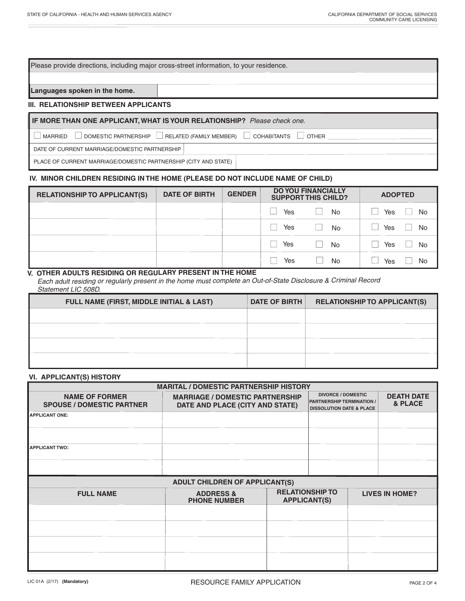Please provide directions, including major cross-street information, to your residence.

**Languages spoken in the home.**

#### **III. RELATIONSHIP BETWEEN APPLICANTS**

### **IF MORE THAN ONE APPLICANT, WHAT IS YOUR RELATIONSHIP?** *Please check one.*

 $\Box$  MARRIED  $\Box$  DOMESTIC PARTNERSHIP  $\Box$  RELATED (FAMILY MEMBER)  $\Box$  COHABITANTS  $\Box$  OTHER

DATE OF CURRENT MARRIAGE/DOMESTIC PARTNERSHIP

PLACE OF CURRENT MARRIAGE/DOMESTIC PARTNERSHIP (CITY AND STATE)

#### **IV. MINOR CHILDREN RESIDING IN THE HOME (PLEASE DO NOT INCLUDE NAME OF CHILD)**

| <b>RELATIONSHIP TO APPLICANT(S)</b> | <b>DATE OF BIRTH</b> | <b>GENDER</b> | <b>DO YOU FINANCIALLY</b><br><b>SUPPORT THIS CHILD?</b> |           | <b>ADOPTED</b>       |
|-------------------------------------|----------------------|---------------|---------------------------------------------------------|-----------|----------------------|
|                                     |                      |               | Yes                                                     | <b>No</b> | No<br>Yes            |
|                                     |                      |               | Yes                                                     | <b>No</b> | Yes<br>No            |
|                                     |                      |               | Yes                                                     | <b>No</b> | <sup>No</sup><br>Yes |
|                                     |                      |               | Yes                                                     | No        | No<br>Yes            |

### **V. OTHER ADULTS RESIDING OR REGULARY PRESENT IN THE HOME**

*Each adult residing or regularly present in the home must complete an Out-of-State Disclosure & Criminal Record Statement LIC 508D.*

| <b>FULL NAME (FIRST, MIDDLE INITIAL &amp; LAST)</b> | <b>DATE OF BIRTH</b> | <b>RELATIONSHIP TO APPLICANT(S)</b> |
|-----------------------------------------------------|----------------------|-------------------------------------|
|                                                     |                      |                                     |
|                                                     |                      |                                     |
|                                                     |                      |                                     |
|                                                     |                      |                                     |

#### **VI. APPLICANT(S) HISTORY**

| <b>MARITAL / DOMESTIC PARTNERSHIP HISTORY</b>             |                                                                           |  |                                                                                                      |  |                              |  |  |
|-----------------------------------------------------------|---------------------------------------------------------------------------|--|------------------------------------------------------------------------------------------------------|--|------------------------------|--|--|
| <b>NAME OF FORMER</b><br><b>SPOUSE / DOMESTIC PARTNER</b> | <b>MARRIAGE / DOMESTIC PARTNERSHIP</b><br>DATE AND PLACE (CITY AND STATE) |  | <b>DIVORCE / DOMESTIC</b><br><b>PARTNERSHIP TERMINATION /</b><br><b>DISSOLUTION DATE &amp; PLACE</b> |  | <b>DEATH DATE</b><br>& PLACE |  |  |
| <b>APPLICANT ONE:</b>                                     |                                                                           |  |                                                                                                      |  |                              |  |  |
|                                                           |                                                                           |  |                                                                                                      |  |                              |  |  |
| <b>APPLICANT TWO:</b>                                     |                                                                           |  |                                                                                                      |  |                              |  |  |
|                                                           |                                                                           |  |                                                                                                      |  |                              |  |  |
|                                                           | <b>ADULT CHILDREN OF APPLICANT(S)</b>                                     |  |                                                                                                      |  |                              |  |  |
| <b>FULL NAME</b>                                          | <b>ADDRESS &amp;</b><br><b>PHONE NUMBER</b>                               |  | <b>RELATIONSHIP TO</b><br><b>APPLICANT(S)</b>                                                        |  | <b>LIVES IN HOME?</b>        |  |  |
|                                                           |                                                                           |  |                                                                                                      |  |                              |  |  |
|                                                           |                                                                           |  |                                                                                                      |  |                              |  |  |
|                                                           |                                                                           |  |                                                                                                      |  |                              |  |  |
|                                                           |                                                                           |  |                                                                                                      |  |                              |  |  |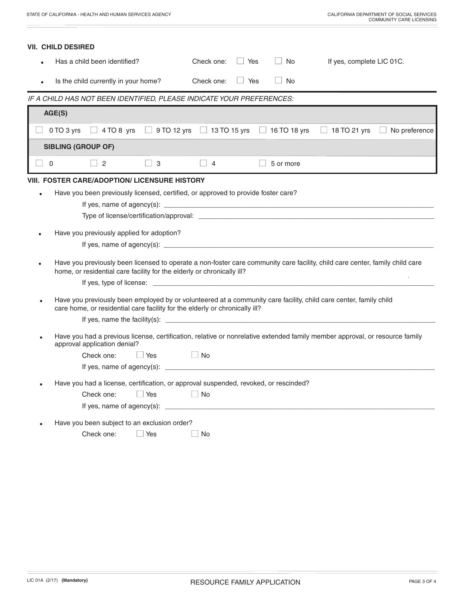|                          | VII.  CHILD DESIRED                                                                                                                                                                                    |  |  |  |  |  |  |  |
|--------------------------|--------------------------------------------------------------------------------------------------------------------------------------------------------------------------------------------------------|--|--|--|--|--|--|--|
|                          | $\vert \ \ \vert$<br>Has a child been identified?<br>$\Box$ Yes<br><b>No</b><br>Check one:<br>If yes, complete LIC 01C.                                                                                |  |  |  |  |  |  |  |
|                          | $\Box$ Yes<br>$\Box$<br>No<br>Is the child currently in your home?<br>Check one:                                                                                                                       |  |  |  |  |  |  |  |
|                          | IF A CHILD HAS NOT BEEN IDENTIFIED, PLEASE INDICATE YOUR PREFERENCES:                                                                                                                                  |  |  |  |  |  |  |  |
|                          | AGE(S)                                                                                                                                                                                                 |  |  |  |  |  |  |  |
|                          | $\Box$ 4 TO 8 yrs $\Box$ 9 TO 12 yrs $\Box$ 13 TO 15 yrs $\Box$ 16 TO 18 yrs $\Box$ 18 TO 21 yrs<br>$\Box$ No preference<br>0 TO 3 yrs                                                                 |  |  |  |  |  |  |  |
|                          | <b>SIBLING (GROUP OF)</b>                                                                                                                                                                              |  |  |  |  |  |  |  |
| $\overline{\phantom{0}}$ | 2<br>□ 3<br>5 or more<br>$\overline{4}$                                                                                                                                                                |  |  |  |  |  |  |  |
|                          | <b>VIII. FOSTER CARE/ADOPTION/ LICENSURE HISTORY</b>                                                                                                                                                   |  |  |  |  |  |  |  |
|                          | Have you been previously licensed, certified, or approved to provide foster care?                                                                                                                      |  |  |  |  |  |  |  |
|                          |                                                                                                                                                                                                        |  |  |  |  |  |  |  |
|                          |                                                                                                                                                                                                        |  |  |  |  |  |  |  |
|                          | Have you previously applied for adoption?                                                                                                                                                              |  |  |  |  |  |  |  |
|                          |                                                                                                                                                                                                        |  |  |  |  |  |  |  |
|                          | Have you previously been licensed to operate a non-foster care community care facility, child care center, family child care<br>home, or residential care facility for the elderly or chronically ill? |  |  |  |  |  |  |  |
|                          |                                                                                                                                                                                                        |  |  |  |  |  |  |  |
|                          | Have you previously been employed by or volunteered at a community care facility, child care center, family child<br>care home, or residential care facility for the elderly or chronically ill?       |  |  |  |  |  |  |  |
|                          |                                                                                                                                                                                                        |  |  |  |  |  |  |  |
|                          | Have you had a previous license, certification, relative or nonrelative extended family member approval, or resource family<br>approval application denial?                                            |  |  |  |  |  |  |  |
|                          | $\Box$ Yes<br><b>Example 1</b> No<br>Check one:                                                                                                                                                        |  |  |  |  |  |  |  |
|                          |                                                                                                                                                                                                        |  |  |  |  |  |  |  |
|                          | Have you had a license, certification, or approval suspended, revoked, or rescinded?                                                                                                                   |  |  |  |  |  |  |  |
|                          | $\Box$ No<br>$\Box$ Yes<br>Check one:                                                                                                                                                                  |  |  |  |  |  |  |  |
|                          | If yes, name of agency(s): $\overline{\phantom{a}}$                                                                                                                                                    |  |  |  |  |  |  |  |
|                          | Have you been subject to an exclusion order?                                                                                                                                                           |  |  |  |  |  |  |  |
|                          | $\Box$ Yes<br>Check one:<br>$\Box$ No                                                                                                                                                                  |  |  |  |  |  |  |  |
|                          |                                                                                                                                                                                                        |  |  |  |  |  |  |  |

 $\equiv$ 

۰